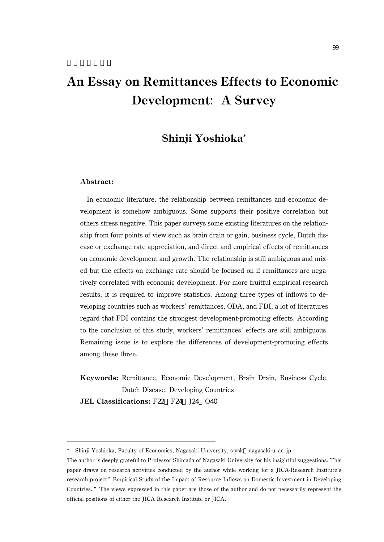# An Essay on Remittances Effects to Economic Development: A Survey

## Shinji Yoshioka\*

#### Abstract:

In economic literature, the relationship between remittances and economic development is somehow ambiguous. Some supports their positive correlation but others stress negative. This paper surveys some existing literatures on the relationship from four points of view such as brain drain or gain, business cycle, Dutch disease or exchange rate appreciation, and direct and empirical effects of remittances on economic development and growth. The relationship is still ambiguous and mixed but the effects on exchange rate should be focused on if remittances are negatively correlated with economic development. For more fruitful empirical research results, it is required to improve statistics. Among three types of inflows to developing countries such as workers' remittances, ODA, and FDI, a lot of literatures regard that FDI contains the strongest development-promoting effects. According to the conclusion of this study, workers' remittances' effects are still ambiguous. Remaining issue is to explore the differences of development-promoting effects among these three.

Keywords: Remittance, Economic Development, Brain Drain, Business Cycle, Dutch Disease, Developing Countries

JEL Classifications: F22, F24, J24, O40

<sup>\*</sup> Shinji Yoshioka, Faculty of Economics, Nagasaki University, s-ysk nagasaki-u.ac.jp

The author is deeply grateful to Professor Shimada of Nagasaki University for his insightful suggestions. This paper draws on research activities conducted by the author while working for a JICA-Research Institute's research project"Empirical Study of the Impact of Resource Inflows on Domestic Investment in Developing Countries."The views expressed in this paper are those of the author and do not necessarily represent the official positions of either the JICA Research Institute or JICA.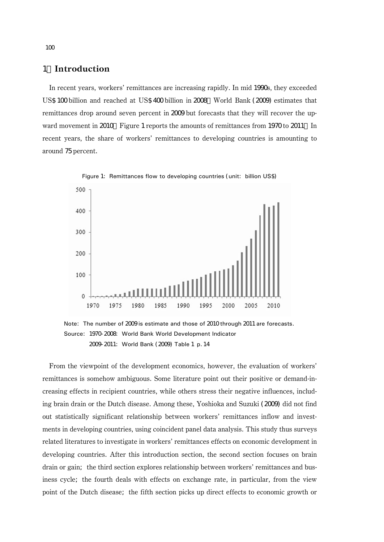#### 1.Introduction

In recent years, workers' remittances are increasing rapidly. In mid 1990s, they exceeded US\$ 100 billion and reached at US\$ 400 billion in 2008 World Bank (2009) estimates that remittances drop around seven percent in 2009 but forecasts that they will recover the upward movement in 2010 Figure 1 reports the amounts of remittances from 1970 to 2011 In recent years, the share of workers' remittances to developing countries is amounting to around 75 percent.



Figure 1: Remittances flow to developing countries (unit: billion US\$)

From the viewpoint of the development economics, however, the evaluation of workers' remittances is somehow ambiguous. Some literature point out their positive or demand-increasing effects in recipient countries, while others stress their negative influences, including brain drain or the Dutch disease. Among these, Yoshioka and Suzuki (2009) did not find out statistically significant relationship between workers' remittances inflow and investments in developing countries, using coincident panel data analysis. This study thus surveys related literatures to investigate in workers' remittances effects on economic development in developing countries. After this introduction section, the second section focuses on brain drain or gain; the third section explores relationship between workers' remittances and business cycle; the fourth deals with effects on exchange rate, in particular, from the view point of the Dutch disease; the fifth section picks up direct effects to economic growth or

Note: The number of 2009 is estimate and those of 2010 through 2011 are forecasts. Source: 1970-2008: World Bank World Development Indicator 2009-2011: World Bank (2009) Table 1 p.14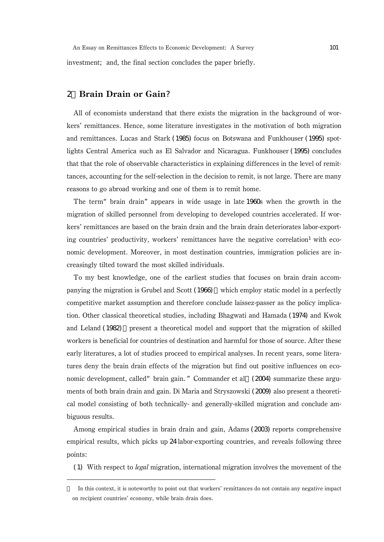investment; and, the final section concludes the paper briefly.

## 2.Brain Drain or Gain?

All of economists understand that there exists the migration in the background of workers' remittances. Hence, some literature investigates in the motivation of both migration and remittances. Lucas and Stark (1985) focus on Botswana and Funkhouser (1995) spotlights Central America such as El Salvador and Nicaragua. Funkhouser (1995) concludes that that the role of observable characteristics in explaining differences in the level of remittances, accounting for the self-selection in the decision to remit, is not large. There are many reasons to go abroad working and one of them is to remit home.

The term"brain drain"appears in wide usage in late 1960s when the growth in the migration of skilled personnel from developing to developed countries accelerated. If workers' remittances are based on the brain drain and the brain drain deteriorates labor-exporting countries' productivity, workers' remittances have the negative correlation<sup>1</sup> with economic development. Moreover, in most destination countries, immigration policies are increasingly tilted toward the most skilled individuals.

To my best knowledge, one of the earliest studies that focuses on brain drain accompanying the migration is Grubel and Scott (1966), which employ static model in a perfectly competitive market assumption and therefore conclude laissez-passer as the policy implication. Other classical theoretical studies, including Bhagwati and Hamada (1974) and Kwok and Leland (1982), present a theoretical model and support that the migration of skilled workers is beneficial for countries of destination and harmful for those of source. After these early literatures, a lot of studies proceed to empirical analyses. In recent years, some literatures deny the brain drain effects of the migration but find out positive influences on economic development, called" brain gain." Commander et al. (2004) summarize these arguments of both brain drain and gain. Di Maria and Stryszowski (2009) also present a theoretical model consisting of both technically- and generally-skilled migration and conclude ambiguous results.

Among empirical studies in brain drain and gain, Adams (2003) reports comprehensive empirical results, which picks up 24 labor-exporting countries, and reveals following three points:

(1) With respect to legal migration, international migration involves the movement of the

In this context, it is noteworthy to point out that workers' remittances do not contain any negative impact on recipient countries' economy, while brain drain does.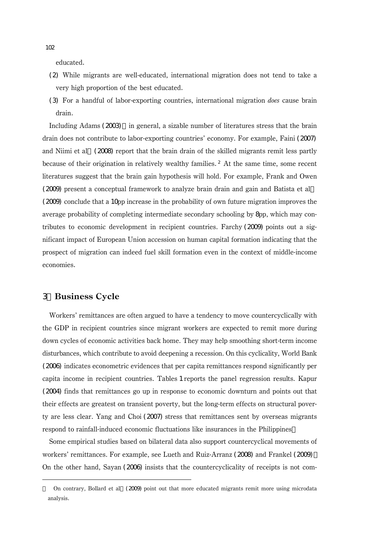educated.

- (2) While migrants are well-educated, international migration does not tend to take a very high proportion of the best educated.
- (3) For a handful of labor-exporting countries, international migration does cause brain drain.

Including Adams  $(2003)$  in general, a sizable number of literatures stress that the brain drain does not contribute to labor-exporting countries' economy. For example, Faini (2007) and Niimi et al. (2008) report that the brain drain of the skilled migrants remit less partly because of their origination in relatively wealthy families.<sup>2</sup> At the same time, some recent literatures suggest that the brain gain hypothesis will hold. For example, Frank and Owen (2009) present a conceptual framework to analyze brain drain and gain and Batista et al (2009) conclude that a 10pp increase in the probability of own future migration improves the average probability of completing intermediate secondary schooling by 8pp, which may contributes to economic development in recipient countries. Farchy (2009) points out a significant impact of European Union accession on human capital formation indicating that the prospect of migration can indeed fuel skill formation even in the context of middle-income economies.

## 3.Business Cycle

Workers' remittances are often argued to have a tendency to move countercyclically with the GDP in recipient countries since migrant workers are expected to remit more during down cycles of economic activities back home. They may help smoothing short-term income disturbances, which contribute to avoid deepening a recession. On this cyclicality, World Bank (2006) indicates econometric evidences that per capita remittances respond significantly per capita income in recipient countries. Tables 1 reports the panel regression results. Kapur (2004) finds that remittances go up in response to economic downturn and points out that their effects are greatest on transient poverty, but the long-term effects on structural poverty are less clear. Yang and Choi (2007) stress that remittances sent by overseas migrants respond to rainfall-induced economic fluctuations like insurances in the Philippines

Some empirical studies based on bilateral data also support countercyclical movements of workers' remittances. For example, see Lueth and Ruiz-Arranz (2008) and Frankel (2009). On the other hand, Sayan (2006) insists that the countercyclicality of receipts is not com-

102

On contrary, Bollard et al.(2009) point out that more educated migrants remit more using microdata analysis.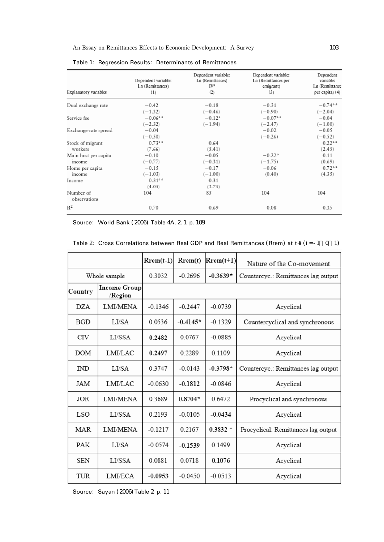| Explanatory variables     | Dependent variable:<br>Ln (Remittances)<br>(1) | Dependent variable:<br>Ln (Remittances)<br>IVª<br>(2) | Dependent variable:<br>La (Remittances per<br>emigrant)<br>(3) | Dependent<br>variable:<br>Ln (Remittance<br>per capita) (4) |
|---------------------------|------------------------------------------------|-------------------------------------------------------|----------------------------------------------------------------|-------------------------------------------------------------|
| Dual exchange rate        | $-0.42$                                        | $-0.18$                                               | $-0.31$                                                        | $-0.74$ <sup>**</sup>                                       |
|                           | $(-1.32)$                                      | $(-0.46)$                                             | $(-0.90)$                                                      | $(-2.04)$                                                   |
| Service fee               | $-0.06**$                                      | $-0.12*$                                              | $-0.07$ <sup>ss</sup>                                          | $-0.04$                                                     |
|                           | $(-2.32)$                                      | $(-1.94)$                                             | $(-2.47)$                                                      | $(-1.00)$                                                   |
| Exchange-rate spread      | $-0.04$                                        |                                                       | $-0.02$                                                        | $-0.05$                                                     |
|                           | $(-0.50)$                                      |                                                       | $(-0.26)$                                                      | $(-0.52)$                                                   |
| Stock of migrant          | $0.73**$                                       | 0.64                                                  |                                                                | $0.22**$                                                    |
| workers                   | (7.66)                                         | (5.41)                                                |                                                                | (2.45)                                                      |
| Main host per capita      | $-0.10$                                        | $-0.05$                                               | $-0.22$ <sup>*</sup>                                           | 0.11                                                        |
| income                    | $(-0.77)$                                      | $(-0.31)$                                             | $(-1.75)$                                                      | (0.69)                                                      |
| Home per capita           | $-0.15$                                        | $-0.17$                                               | $-0.06$                                                        | $0.72**$                                                    |
| income                    | $(-1.03)$                                      | $(-1.00)$                                             | (0.40)                                                         | (4.35)                                                      |
| Income                    | $0.31**$                                       | 0.31                                                  |                                                                |                                                             |
|                           | (4.05)                                         | (3.75)                                                |                                                                |                                                             |
| Number of<br>observations | 104                                            | 85                                                    | 104                                                            | 104                                                         |
| $\mathbb{R}^2$            | 0.70                                           | 0.69                                                  | 0.08                                                           | 0.35                                                        |

Source: World Bank (2006) Table 4A.2.1 p.109

|                        |                                | $Rrem(t-1)$ | Rrem(t)    | $Rrem(t+1)$ | Nature of the Co-movement           |
|------------------------|--------------------------------|-------------|------------|-------------|-------------------------------------|
| Whole sample           |                                | 0.3032      | $-0.2696$  | $-0.3639*$  | Countercyc.: Remittances lag output |
| Country                | <b>Income Group</b><br>/Region |             |            |             |                                     |
| <b>DZA</b>             | <b>LMI/MENA</b>                | $-0.1346$   | $-0.2447$  | $-0.0739$   | Acyclical                           |
| <b>BGD</b>             | LUSA                           | 0.0536      | $-0.4145*$ | $-0.1329$   | Countercyclical and synchronous     |
| <b>CIV</b>             | LI/SSA                         | 0.2482      | 0.0767     | $-0.0885$   | Acvelical                           |
| <b>DOM</b>             | LMI/LAC                        | 0.2497      | 0.2289     | 0.1109      | Acyclical                           |
| $\mathbb{N}\mathbb{D}$ | LUSA                           | 0 3 7 4 7   | $-0.0143$  | $-0.3798*$  | Countercyc.: Remittances lag output |
| JAM                    | <b>LMI/LAC</b>                 | $-0.0630$   | $-0.1812$  | $-0.0846$   | Acyclical                           |
| JOR                    | <b>LMI/MENA</b>                | 0 3 6 8 9   | $0.8704*$  | 0.6472      | Procyclical and synchronous         |
| LSO                    | LI/SSA                         | 0.2193      | $-0.0105$  | $-0.0434$   | Acyclical                           |
| MAR                    | LMI/MENA                       | $-0.1217$   | 0.2167     | $0.3832 *$  | Procyclical: Remittances lag output |
| PAK                    | LUSA                           | $-0.0574$   | $-0.1539$  | 0 1 4 9 9   | Acyclical                           |
| <b>SEN</b>             | LI/SSA                         | 0 0 8 8 1   | 0.0718     | 0.1076      | Acyclical                           |
| <b>TUR</b>             | <b>LMI/ECA</b>                 | $-0.0953$   | $-0.0450$  | $-0.0513$   | Acyclical                           |

|  | Table 2 Cross Correlations between Real GDP and Real Remittances (Rrem) at $t + i$ (i = -1 0 1) |  |  |  |  |  |  |  |
|--|-------------------------------------------------------------------------------------------------|--|--|--|--|--|--|--|
|--|-------------------------------------------------------------------------------------------------|--|--|--|--|--|--|--|

Source: Sayan (2006) Table 2 p. 11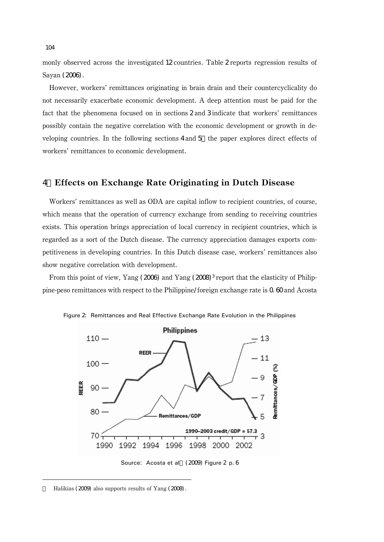monly observed across the investigated 12 countries. Table 2 reports regression results of Sayan (2006).

However, workers' remittances originating in brain drain and their countercyclicality do not necessarily exacerbate economic development. A deep attention must be paid for the fact that the phenomena focused on in sections 2 and 3 indicate that workers' remittances possibly contain the negative correlation with the economic development or growth in developing countries. In the following sections 4 and 5 the paper explores direct effects of workers' remittances to economic development.

### 4.Effects on Exchange Rate Originating in Dutch Disease

Workers' remittances as well as ODA are capital inflow to recipient countries, of course, which means that the operation of currency exchange from sending to receiving countries exists. This operation brings appreciation of local currency in recipient countries, which is regarded as a sort of the Dutch disease. The currency appreciation damages exports competitiveness in developing countries. In this Dutch disease case, workers' remittances also show negative correlation with development.

From this point of view, Yang (2006) and Yang (2008)<sup>3</sup> report that the elasticity of Philippine-peso remittances with respect to the Philippine/foreign exchange rate is  $Q_1$  60 and Acosta





Halikias (2009) also supports results of Yang (2008).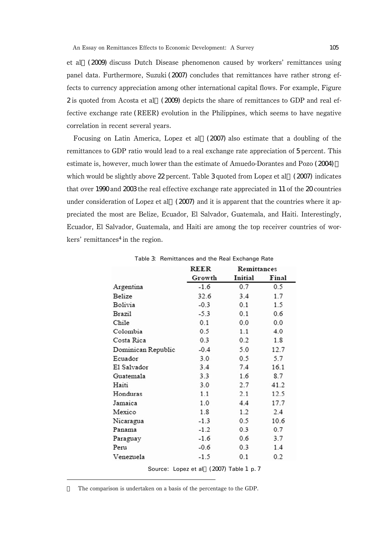et al.(2009) discuss Dutch Disease phenomenon caused by workers' remittances using panel data. Furthermore, Suzuki (2007) concludes that remittances have rather strong effects to currency appreciation among other international capital flows. For example, Figure 2 is quoted from Acosta et al.(2009) depicts the share of remittances to GDP and real effective exchange rate (REER) evolution in the Philippines, which seems to have negative correlation in recent several years.

Focusing on Latin America, Lopez et al.(2007) also estimate that a doubling of the remittances to GDP ratio would lead to a real exchange rate appreciation of 5 percent. This estimate is, however, much lower than the estimate of Amuedo-Dorantes and Pozo (2004), which would be slightly above  $22$  percent. Table 3 quoted from Lopez et al. (2007) indicates that over 1990 and 2003 the real effective exchange rate appreciated in 11 of the 20 countries under consideration of Lopez et al.  $(2007)$  and it is apparent that the countries where it appreciated the most are Belize, Ecuador, El Salvador, Guatemala, and Haiti. Interestingly, Ecuador, El Salvador, Guatemala, and Haiti are among the top receiver countries of wor $kers'$  remittances<sup>4</sup> in the region.

|                    | <b>REER</b> | Remittances |       |  |
|--------------------|-------------|-------------|-------|--|
|                    | Growth      | Initial     | Final |  |
| Argentina          | $-1.6$      | 0.7         | 0.5   |  |
| Belize             | 32.6        | 3.4         | 1.7   |  |
| Bolivia            | $-0.3$      | 0.1         | 1.5   |  |
| Brazil             | $-5.3$      | 0.1         | 0.6   |  |
| Chile              | 0.1         | 0.0         | 0.0   |  |
| Colombia           | 0.5         | 1.1         | 4.0   |  |
| Costa Rica         | 0.3         | 0.2         | 1.8   |  |
| Dominican Republic | $-0.4$      | 5.0         | 12.7  |  |
| Ecuador            | 3.0         | 0.5         | 5.7   |  |
| El Salvador        | 3.4         | 7.4         | 16.1  |  |
| Guatemala          | 3.3         | 1.6         | 8.7   |  |
| Haiti              | 3.0         | 2.7         | 41.2  |  |
| Honduras           | 1.1         | 2.1         | 12.5  |  |
| Jamaica            | 1.0         | 4.4         | 17.7  |  |
| Mexico             | 1.8         | 1.2         | 2.4   |  |
| Nicaragua          | $-1.3$      | 0.5         | 10.6  |  |
| Panama             | $-1.2$      | 0.3         | 0.7   |  |
| Paraguay           | $-1.6$      | 0.6         | 3.7   |  |
| Peru               | $-0.6$      | 0.3         | 1.4   |  |
| Venezuela          | $-1.5$      | 0.1         | 0.2   |  |

Table 3: Remittances and the Real Exchange Rate

Source: Lopez et al. (2007) Table 1 p. 7

The comparison is undertaken on a basis of the percentage to the GDP.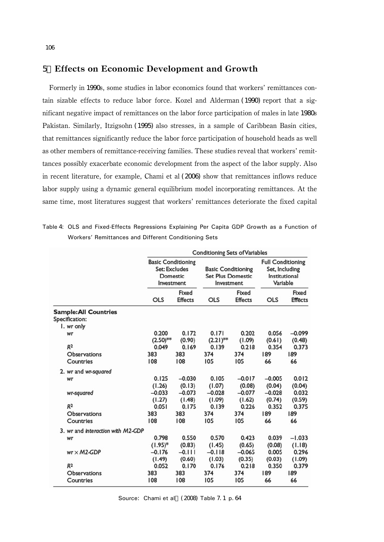#### 5.Effects on Economic Development and Growth

Formerly in 1990s, some studies in labor economics found that workers' remittances contain sizable effects to reduce labor force. Kozel and Alderman (1990) report that a significant negative impact of remittances on the labor force participation of males in late 1980s Pakistan. Similarly, Itzigsohn (1995) also stresses, in a sample of Caribbean Basin cities, that remittances significantly reduce the labor force participation of household heads as well as other members of remittance-receiving families. These studies reveal that workers' remittances possibly exacerbate economic development from the aspect of the labor supply. Also in recent literature, for example, Chami et al (2006) show that remittances inflows reduce labor supply using a dynamic general equilibrium model incorporating remittances. At the same time, most literatures suggest that workers' remittances deteriorate the fixed capital

Table 4: OLS and Fixed-Effects Regressions Explaining Per Capita GDP Growth as a Function of Workers' Remittances and Different Conditioning Sets

|                                                | <b>Conditioning Sets of Variables</b> |                                                                             |             |                                                                     |            |                                                                         |  |
|------------------------------------------------|---------------------------------------|-----------------------------------------------------------------------------|-------------|---------------------------------------------------------------------|------------|-------------------------------------------------------------------------|--|
|                                                |                                       | <b>Basic Conditioning</b><br>Set: Excludes<br><b>Domestic</b><br>Investment |             | <b>Basic Conditioning</b><br><b>Set Plus Domestic</b><br>Investment |            | <b>Full Conditioning</b><br>Set, Including<br>Institutional<br>Variable |  |
|                                                | <b>OLS</b>                            | Fixed<br><b>Effects</b>                                                     | <b>OLS</b>  | Fixed<br><b>Effects</b>                                             | <b>OLS</b> | Fixed<br><b>Effects</b>                                                 |  |
| <b>Sample: All Countries</b><br>Specification: |                                       |                                                                             |             |                                                                     |            |                                                                         |  |
| I. wr only                                     |                                       |                                                                             |             |                                                                     |            |                                                                         |  |
| Wr                                             | 0.200                                 | 0.172                                                                       | 0.171       | 0.202                                                               | 0.056      | $-0.099$                                                                |  |
|                                                | $(2.50)$ **                           | (0.90)                                                                      | $(2.21)$ ** | (1.09)                                                              | (0.61)     | (0.48)                                                                  |  |
| R <sup>2</sup>                                 | 0.049                                 | 0.169                                                                       | 0.139       | 0.218                                                               | 0.354      | 0.373                                                                   |  |
| <b>Observations</b>                            | 383                                   | 383                                                                         | 374         | 374                                                                 | 189        | 189                                                                     |  |
| Countries                                      | 108                                   | 108                                                                         | 105         | 105                                                                 | 66         | 66                                                                      |  |
| 2. wr and wr-squared                           |                                       |                                                                             |             |                                                                     |            |                                                                         |  |
| wr                                             | 0.125                                 | $-0.030$                                                                    | 0.105       | $-0.017$                                                            | $-0.005$   | 0.012                                                                   |  |
|                                                | (1.26)                                | (0.13)                                                                      | (1.07)      | (0.08)                                                              | (0.04)     | (0.04)                                                                  |  |
| wr-squared                                     | $-0.033$                              | $-0.073$                                                                    | $-0.028$    | $-0.077$                                                            | $-0.028$   | 0.032                                                                   |  |
|                                                | (1.27)                                | (1.48)                                                                      | (1.09)      | (1.62)                                                              | (0.74)     | (0.59)                                                                  |  |
| R <sup>2</sup>                                 | 0.051                                 | 0.175                                                                       | 0.139       | 0.226                                                               | 0.352      | 0.375                                                                   |  |
| Observations                                   | 383                                   | 383                                                                         | 374         | 374                                                                 | 189        | 189                                                                     |  |
| Countries                                      | 108                                   | 108                                                                         | 105         | 105                                                                 | 66         | 66                                                                      |  |
| 3. wr and interaction with M2-GDP              |                                       |                                                                             |             |                                                                     |            |                                                                         |  |
| wr                                             | 0.798                                 | 0.550                                                                       | 0.570       | 0.423                                                               | 0.039      | $-1.033$                                                                |  |
|                                                | $(1.95)^*$                            | (0.83)                                                                      | (1.45)      | (0.65)                                                              | (0.08)     | (1.18)                                                                  |  |
| $wr \times M2-GDP$                             | $-0.176$                              | $-0.111$                                                                    | $-0.118$    | $-0.065$                                                            | 0.005      | 0.296                                                                   |  |
|                                                | (1.49)                                | (0.60)                                                                      | (1.03)      | (0.35)                                                              | (0.03)     | (1.09)                                                                  |  |
| R <sub>2</sub>                                 | 0.052                                 | 0.170                                                                       | 0.176       | 0.218                                                               | 0.350      | 0.379                                                                   |  |
| <b>Observations</b>                            | 383                                   | 383                                                                         | 374         | 374                                                                 | 189        | 189                                                                     |  |
| Countries                                      | 108                                   | 108                                                                         | 105         | 105                                                                 | 66         | 66                                                                      |  |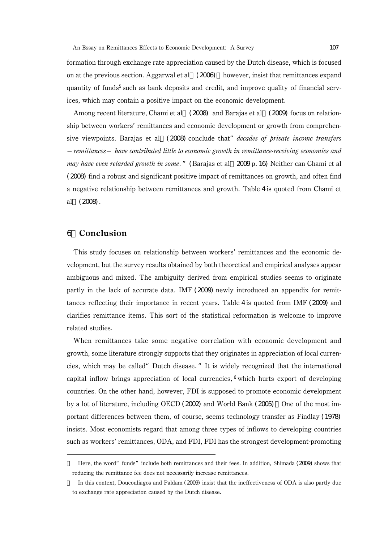formation through exchange rate appreciation caused by the Dutch disease, which is focused on at the previous section. Aggarwal et al.  $(2006)$  however, insist that remittances expand quantity of funds<sup>5</sup> such as bank deposits and credit, and improve quality of financial services, which may contain a positive impact on the economic development.

Among recent literature, Chami et al.(2008) and Barajas et al.(2009) focus on relationship between workers' remittances and economic development or growth from comprehensive viewpoints. Barajas et al. (2008) conclude that *decades of private income transfers* 

remittances have contributed little to economic growth in remittance-receiving economies and may have even retarded growth in some." (Barajas et al. 2009 p. 16) Neither can Chami et al. (2008) find a robust and significant positive impact of remittances on growth, and often find a negative relationship between remittances and growth. Table 4 is quoted from Chami et al.(2008).

## 6.Conclusion

This study focuses on relationship between workers' remittances and the economic development, but the survey results obtained by both theoretical and empirical analyses appear ambiguous and mixed. The ambiguity derived from empirical studies seems to originate partly in the lack of accurate data. IMF (2009) newly introduced an appendix for remittances reflecting their importance in recent years. Table 4 is quoted from IMF (2009) and clarifies remittance items. This sort of the statistical reformation is welcome to improve related studies.

When remittances take some negative correlation with economic development and growth, some literature strongly supports that they originates in appreciation of local currencies, which may be called"Dutch disease."It is widely recognized that the international capital inflow brings appreciation of local currencies, <sup>6</sup> which hurts export of developing countries. On the other hand, however, FDI is supposed to promote economic development by a lot of literature, including OECD (2002) and World Bank (2005) One of the most important differences between them, of course, seems technology transfer as Findlay (1978) insists. Most economists regard that among three types of inflows to developing countries such as workers' remittances, ODA, and FDI, FDI has the strongest development-promoting

Here, the word" funds" include both remittances and their fees. In addition, Shimada (2009) shows that reducing the remittance fee does not necessarily increase remittances.

In this context, Doucouliagos and Paldam (2009) insist that the ineffectiveness of ODA is also partly due to exchange rate appreciation caused by the Dutch disease.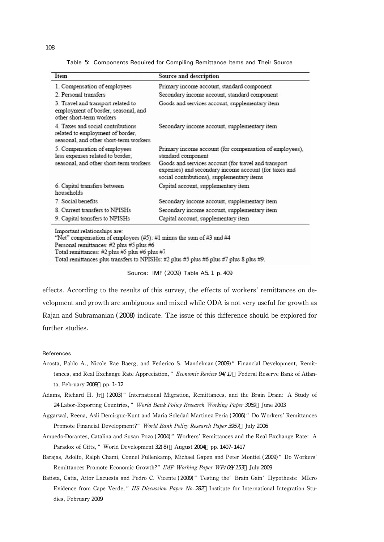Table 5: Components Required for Compiling Remittance Items and Their Source

| Item                                                                                                            | Source and description                                                                                                                                      |  |  |
|-----------------------------------------------------------------------------------------------------------------|-------------------------------------------------------------------------------------------------------------------------------------------------------------|--|--|
| 1. Compensation of employees                                                                                    | Primary income account, standard component                                                                                                                  |  |  |
| 2. Personal transfers                                                                                           | Secondary income account, standard component                                                                                                                |  |  |
| 3. Travel and transport related to<br>employment of border, seasonal, and<br>other short-term workers           | Goods and services account, supplementary item                                                                                                              |  |  |
| 4. Taxes and social contributions<br>related to employment of border,<br>seasonal, and other short-term workers | Secondary income account, supplementary item                                                                                                                |  |  |
| 5. Compensation of employees<br>less expenses related to border,                                                | Primary income account (for compensation of employees),<br>standard component                                                                               |  |  |
| seasonal, and other short-term workers                                                                          | Goods and services account (for travel and transport<br>expenses) and secondary income account (for taxes and<br>social contributions), supplementary items |  |  |
| 6. Capital transfers between<br>households                                                                      | Capital account, supplementary item                                                                                                                         |  |  |
| 7. Social benefits                                                                                              | Secondary income account, supplementary item                                                                                                                |  |  |
| 8. Current transfers to NPISHs                                                                                  | Secondary income account, supplementary item                                                                                                                |  |  |
| 9. Capital transfers to NPISHs                                                                                  | Capital account, supplementary item                                                                                                                         |  |  |

Important relationships are:

"Net" compensation of employees (#5): #1 minus the sum of #3 and #4

Personal remittances: #2 plus #5 plus #6

Total remittances: #2 plus #5 plus #6 plus #7

Total remittances plus transfers to NPISHs: #2 plus #5 plus #6 plus #7 plus 8 plus #9.

#### Source: IMF (2009) Table A5.1 p.409

effects. According to the results of this survey, the effects of workers' remittances on development and growth are ambiguous and mixed while ODA is not very useful for growth as Rajan and Subramanian (2008) indicate. The issue of this difference should be explored for further studies.

#### References

- Acosta, Pablo A., Nicole Rae Baerg, and Federico S. Mandelman (2009) " Financial Development, Remittances, and Real Exchange Rate Appreciation," *Economic Review 94(1)* Federal Reserve Bank of Atlanta, February  $2009$  pp. 1-12
- Adams, Richard H. Jr.(2003)"International Migration, Remittances, and the Brain Drain: A Study of 24 Labor-Exporting Countries," World Bank Policy Research Working Paper 3069 June 2003
- Aggarwal, Reena, Asli Demirguc-Kunt and Maria Soledad Martinez Peria (2006)"Do Workers' Remittances Promote Financial Development?" World Bank Policy Research Paper 3957 July 2006
- Amuedo-Dorantes, Catalina and Susan Pozo (2004) "Workers' Remittances and the Real Exchange Rate: A Paradox of Gifts," World Development 32(8) August 2004 pp. 1407-1417
- Barajas, Adolfo, Ralph Chami, Connel Fullenkamp, Michael Gapen and Peter Montiel (2009)"Do Workers' Remittances Promote Economic Growth?" IMF Working Paper WP/09/153 July 2009
- Batista, Catia, Aitor Lacuesta and Pedro C. Vicente (2009) " Testing the ' Brain Gain' Hypothesis: MIcro Evidence from Cape Verde,"IIS Discussion Paper No.<sup>282</sup> Institute for International Integration Studies, February 2009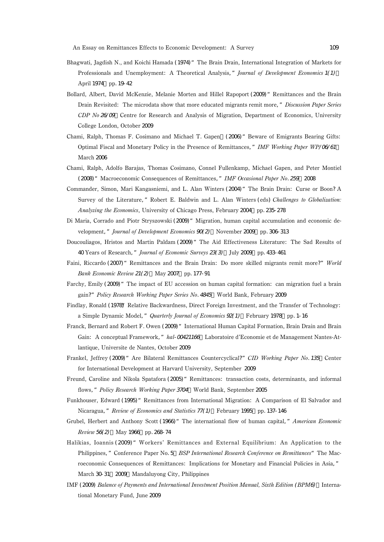- Bhagwati, Jagdish N., and Koichi Hamada (1974) "The Brain Drain, International Integration of Markets for Professionals and Unemployment: A Theoretical Analysis," Journal of Development Economics 1(1) April 1974 pp. 19-42
- Bollard, Albert, David McKenzie, Melanie Morten and Hillel Rapoport (2009) " Remittances and the Brain Drain Revisited: The microdata show that more educated migrants remit more," Discussion Paper Series CDP No 26/09 Centre for Research and Analysis of Migration, Department of Economics, University College London, October 2009
- Chami, Ralph, Thomas F. Cosimano and Michael T. Gapen,(2006)"Beware of Emigrants Bearing Gifts: Optimal Fiscal and Monetary Policy in the Presence of Remittances," IMF Working Paper WP/06/61 March 2006
- Chami, Ralph, Adolfo Barajas, Thomas Cosimano, Connel Fullenkamp, Michael Gapen, and Peter Montiel (2008) "Macroeconomic Consequences of Remittances," IMF Occasional Paper No. 259 2008
- Commander, Simon, Mari Kangasniemi, and L. Alan Winters (2004)"The Brain Drain: Curse or Boon? A Survey of the Literature," Robert E. Baldwin and L. Alan Winters (eds) Challenges to Globalization: Analyzing the Economics, University of Chicago Press, February 2004, pp. 235-278
- Di Maria, Corrado and Piotr Stryszowski (2009)"Migration, human capital accumulation and economic development," Journal of Development Economics 90(2) November 2009 pp. 306-313
- Doucouliagos, Hristos and Martin Paldam (2009) "The Aid Effectiveness Literature: The Sad Results of 40 Years of Research," Journal of Economic Surveys 23(3) July 2009 pp. 433-461
- Faini, Riccardo (2007) "Remittances and the Brain Drain: Do more skilled migrants remit more?" World Bank Economic Review 21(2) May 2007 pp. 177-91
- Farchy, Emily (2009) "The impact of EU accession on human capital formation: can migration fuel a brain gain?" Policy Research Working Paper Series No. 4845 World Bank, February 2009
- Findlay, Ronald (1978)" Relative Backwardness, Direct Foreign Investment, and the Transfer of Technology: a Simple Dynamic Model," Quarterly Journal of Economics 92(1) February 1978 pp. 1-16
- Franck, Bernard and Robert F. Owen (2009) "International Human Capital Formation, Brain Drain and Brain Gain: A conceptual Framework," hal- $O$ 0421166 Laboratoire d'Economie et de Management Nantes-Atlantique, Universite de Nantes, October 2009
- Frankel, Jeffrey (2009) " Are Bilateral Remittances Countercyclical?" CID Working Paper No. 135 Center for International Development at Harvard University, September 2009
- Freund, Caroline and Nikola Spatafora (2005) "Remittances: transaction costs, determinants, and informal flows," Policy Research Working Paper 3704 World Bank, September 2005
- Funkhouser, Edward (1995) "Remittances from International Migration: A Comparison of El Salvador and Nicaragua," Review of Economics and Statistics 77(1) February 1995 pp. 137-146
- Grubel, Herbert and Anthony Scott (1966) "The international flow of human capital, " American Economic Review 56(2) May 1966 pp. 268-74
- Halikias, Ioannis (2009)"Workers' Remittances and External Equilibrium: An Application to the Philippines," Conference Paper No. 5 BSP International Research Conference on Remittances" The Macroeconomic Consequences of Remittances: Implications for Monetary and Financial Policies in Asia," March 30-31, 2009, Mandaluyong City, Philippines
- IMF (2009) Balance of Payments and International Investment Position Manual, Sixth Edition (BPM6) International Monetary Fund, June 2009